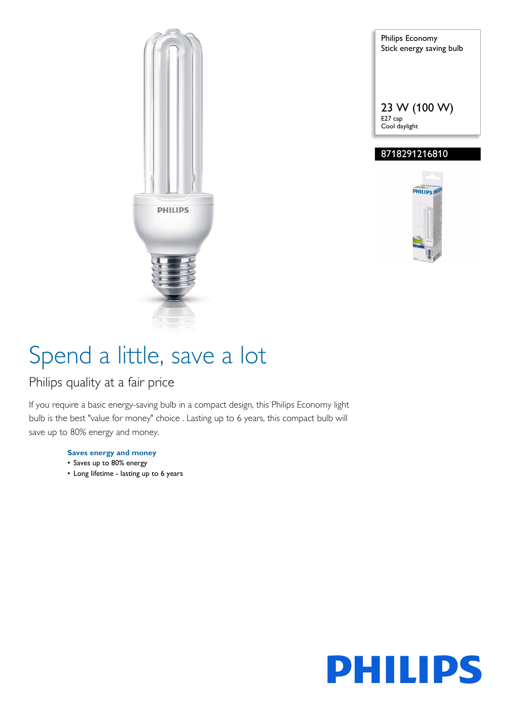

Philips Economy Stick energy saving bulb 23 W (100 W) E27 cap Cool daylight

### 8718291216810



# Spend a little, save a lot

### Philips quality at a fair price

If you require a basic energy-saving bulb in a compact design, this Philips Economy light bulb is the best "value for money" choice . Lasting up to 6 years, this compact bulb will save up to 80% energy and money.

#### **Saves energy and money**

- Saves up to 80% energy
- Long lifetime lasting up to 6 years